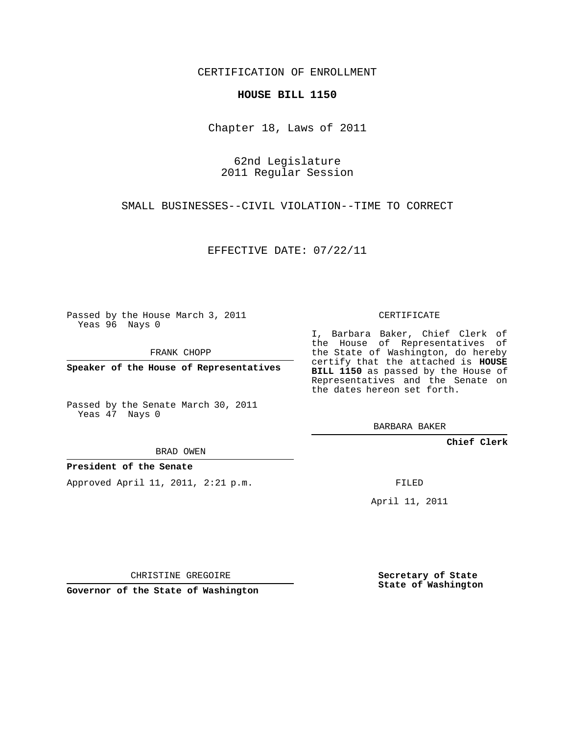CERTIFICATION OF ENROLLMENT

## **HOUSE BILL 1150**

Chapter 18, Laws of 2011

62nd Legislature 2011 Regular Session

SMALL BUSINESSES--CIVIL VIOLATION--TIME TO CORRECT

EFFECTIVE DATE: 07/22/11

Passed by the House March 3, 2011 Yeas 96 Nays 0

FRANK CHOPP

**Speaker of the House of Representatives**

Passed by the Senate March 30, 2011 Yeas 47 Nays 0

BRAD OWEN

**President of the Senate**

Approved April 11, 2011, 2:21 p.m.

CERTIFICATE

I, Barbara Baker, Chief Clerk of the House of Representatives of the State of Washington, do hereby certify that the attached is **HOUSE BILL 1150** as passed by the House of Representatives and the Senate on the dates hereon set forth.

BARBARA BAKER

**Chief Clerk**

FILED

April 11, 2011

CHRISTINE GREGOIRE

**Governor of the State of Washington**

**Secretary of State State of Washington**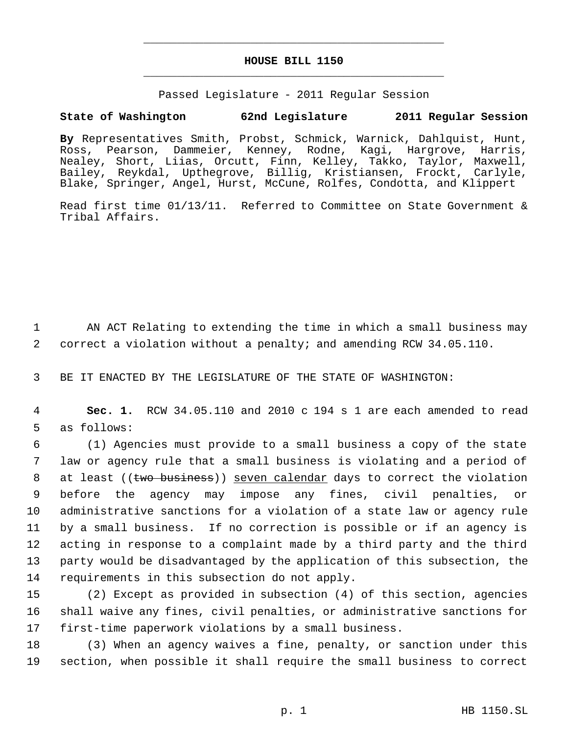## **HOUSE BILL 1150** \_\_\_\_\_\_\_\_\_\_\_\_\_\_\_\_\_\_\_\_\_\_\_\_\_\_\_\_\_\_\_\_\_\_\_\_\_\_\_\_\_\_\_\_\_

\_\_\_\_\_\_\_\_\_\_\_\_\_\_\_\_\_\_\_\_\_\_\_\_\_\_\_\_\_\_\_\_\_\_\_\_\_\_\_\_\_\_\_\_\_

Passed Legislature - 2011 Regular Session

## **State of Washington 62nd Legislature 2011 Regular Session**

**By** Representatives Smith, Probst, Schmick, Warnick, Dahlquist, Hunt, Ross, Pearson, Dammeier, Kenney, Rodne, Kagi, Hargrove, Harris, Nealey, Short, Liias, Orcutt, Finn, Kelley, Takko, Taylor, Maxwell, Bailey, Reykdal, Upthegrove, Billig, Kristiansen, Frockt, Carlyle, Blake, Springer, Angel, Hurst, McCune, Rolfes, Condotta, and Klippert

Read first time 01/13/11. Referred to Committee on State Government & Tribal Affairs.

1 AN ACT Relating to extending the time in which a small business may 2 correct a violation without a penalty; and amending RCW 34.05.110.

3 BE IT ENACTED BY THE LEGISLATURE OF THE STATE OF WASHINGTON:

 4 **Sec. 1.** RCW 34.05.110 and 2010 c 194 s 1 are each amended to read 5 as follows:

 (1) Agencies must provide to a small business a copy of the state law or agency rule that a small business is violating and a period of 8 at least ((two business)) seven calendar days to correct the violation before the agency may impose any fines, civil penalties, or administrative sanctions for a violation of a state law or agency rule by a small business. If no correction is possible or if an agency is acting in response to a complaint made by a third party and the third party would be disadvantaged by the application of this subsection, the requirements in this subsection do not apply.

- 15 (2) Except as provided in subsection (4) of this section, agencies 16 shall waive any fines, civil penalties, or administrative sanctions for 17 first-time paperwork violations by a small business.
- 18 (3) When an agency waives a fine, penalty, or sanction under this 19 section, when possible it shall require the small business to correct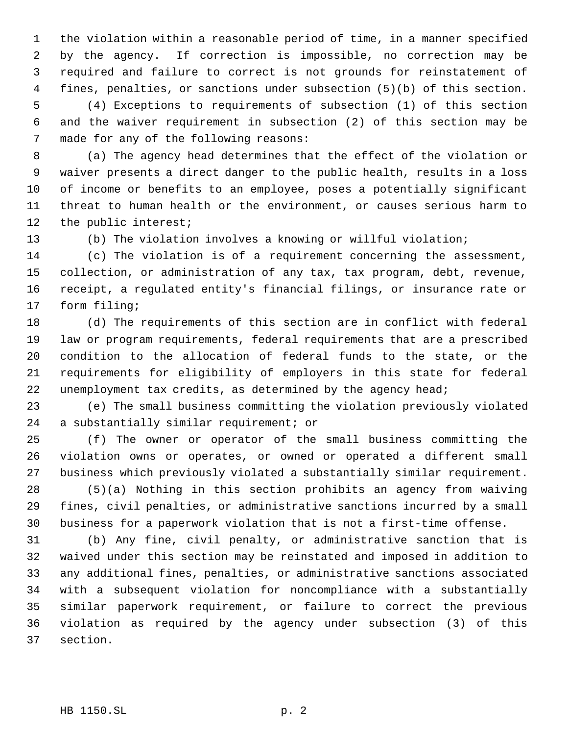the violation within a reasonable period of time, in a manner specified by the agency. If correction is impossible, no correction may be required and failure to correct is not grounds for reinstatement of fines, penalties, or sanctions under subsection (5)(b) of this section. (4) Exceptions to requirements of subsection (1) of this section and the waiver requirement in subsection (2) of this section may be made for any of the following reasons:

 (a) The agency head determines that the effect of the violation or waiver presents a direct danger to the public health, results in a loss of income or benefits to an employee, poses a potentially significant threat to human health or the environment, or causes serious harm to the public interest;

(b) The violation involves a knowing or willful violation;

 (c) The violation is of a requirement concerning the assessment, collection, or administration of any tax, tax program, debt, revenue, receipt, a regulated entity's financial filings, or insurance rate or form filing;

 (d) The requirements of this section are in conflict with federal law or program requirements, federal requirements that are a prescribed condition to the allocation of federal funds to the state, or the requirements for eligibility of employers in this state for federal 22 unemployment tax credits, as determined by the agency head;

 (e) The small business committing the violation previously violated a substantially similar requirement; or

 (f) The owner or operator of the small business committing the violation owns or operates, or owned or operated a different small business which previously violated a substantially similar requirement.

 (5)(a) Nothing in this section prohibits an agency from waiving fines, civil penalties, or administrative sanctions incurred by a small business for a paperwork violation that is not a first-time offense.

 (b) Any fine, civil penalty, or administrative sanction that is waived under this section may be reinstated and imposed in addition to any additional fines, penalties, or administrative sanctions associated with a subsequent violation for noncompliance with a substantially similar paperwork requirement, or failure to correct the previous violation as required by the agency under subsection (3) of this section.